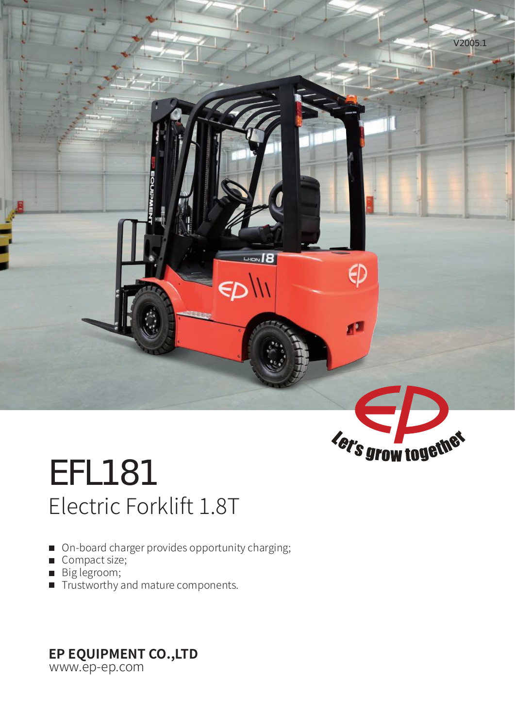

# EFL181 Electric Forklift 1.8T

- On-board charger provides opportunity charging;
- Compact size;
- Big legroom;
- $\blacksquare$  Trustworthy and mature components.

## **EP EQUIPMENT CO.,LTD**

www.ep-ep.com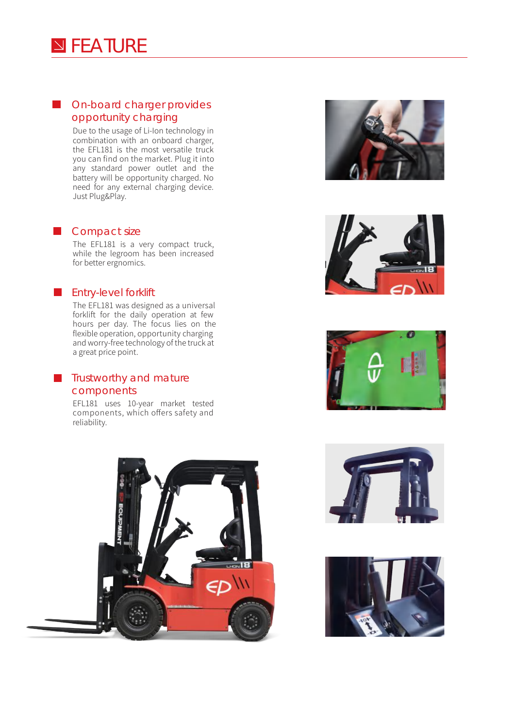### **On-board charger provides** opportunity charging

Due to the usage of Li-Ion technology in combination with an onboard charger, the EFL181 is the most versatile truck you can find on the market. Plug it into any standard power outlet and the battery will be opportunity charged. No need for any external charging device. Just Plug&Play.

#### **Compact size**

The EFL181 is a very compact truck, while the legroom has been increased for better ergnomics.

### **Entry-level forklift**

The EFL181 was designed as a universal forklift for the daily operation at few hours per day. The focus lies on the flexible operation, opportunity charging and worry-free technology of the truck at a great price point.

### **Trustworthy and mature** components

EFL181 uses 10-year market tested components, which offers safety and reliability.











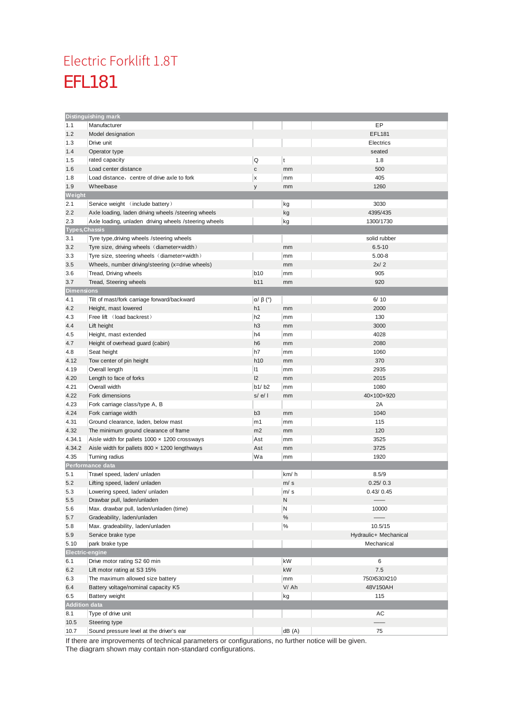### EFL181 Electric Forklift 1.8T

|                            | Distinguishing mark                                    |                        |       |                       |  |  |  |
|----------------------------|--------------------------------------------------------|------------------------|-------|-----------------------|--|--|--|
| 1.1                        | Manufacturer                                           |                        |       | EP                    |  |  |  |
| 1.2                        | Model designation                                      |                        |       | EFL181                |  |  |  |
| 1.3                        | Drive unit                                             |                        |       | Electrics             |  |  |  |
| 1.4                        | Operator type                                          |                        |       | seated                |  |  |  |
| 1.5                        | rated capacity                                         | Q                      | t     | 1.8                   |  |  |  |
| 1.6                        | Load center distance                                   | $\mathsf{C}$           | mm    | 500                   |  |  |  |
| 1.8                        | Load distance, centre of drive axle to fork            | x                      | mm    | 405                   |  |  |  |
| 1.9                        | Wheelbase                                              | y                      | mm    | 1260                  |  |  |  |
| Weight                     |                                                        |                        |       |                       |  |  |  |
| 2.1                        | Service weight (include battery)                       |                        | kg    | 3030                  |  |  |  |
| 2.2                        | Axle loading, laden driving wheels /steering wheels    |                        | kg    | 4395/435              |  |  |  |
| 2.3                        | Axle loading, unladen driving wheels / steering wheels |                        | kg    | 1300/1730             |  |  |  |
| <b>Types, Chassis</b>      |                                                        |                        |       |                       |  |  |  |
| 3.1                        | Tyre type, driving wheels / steering wheels            |                        |       |                       |  |  |  |
|                            |                                                        |                        |       | solid rubber          |  |  |  |
| 3.2                        | Tyre size, driving wheels (diameterxwidth)             |                        | mm    | $6.5 - 10$            |  |  |  |
| 3.3                        | Tyre size, steering wheels (diameterxwidth)            |                        | mm    | $5.00 - 8$            |  |  |  |
| 3.5                        | Wheels, number driving/steering (x=drive wheels)       |                        | mm    | 2x/2                  |  |  |  |
| 3.6                        | Tread, Driving wheels                                  | b <sub>10</sub>        | mm    | 905                   |  |  |  |
| 3.7                        | Tread, Steering wheels                                 | b11                    | mm    | 920                   |  |  |  |
| <b>Dimensions</b>          |                                                        |                        |       |                       |  |  |  |
| 4.1                        | Tilt of mast/fork carriage forward/backward            | $\alpha$ / $\beta$ (°) |       | 6/10                  |  |  |  |
| 4.2                        | Height, mast lowered                                   | h1                     | mm    | 2000                  |  |  |  |
| 4.3                        | Free lift (load backrest)                              | h <sub>2</sub>         | mm    | 130                   |  |  |  |
| 4.4                        | Lift height                                            | h <sub>3</sub>         | mm    | 3000                  |  |  |  |
| 4.5                        | Height, mast extended                                  | h4                     | mm    | 4028                  |  |  |  |
| 4.7                        | Height of overhead guard (cabin)                       | h <sub>6</sub>         | mm    | 2080                  |  |  |  |
| 4.8                        | Seat height                                            | h7                     | mm    | 1060                  |  |  |  |
| 4.12                       | Tow center of pin height                               | h10                    | mm    | 370                   |  |  |  |
| 4.19                       | Overall length                                         | 11                     | mm    | 2935                  |  |  |  |
| 4.20                       | Length to face of forks                                | 2                      | mm    | 2015                  |  |  |  |
| 4.21                       | Overall width                                          | b1/b2                  | mm    | 1080                  |  |  |  |
| 4.22                       | Fork dimensions                                        | s/el                   | mm    | 40×100×920            |  |  |  |
| 4.23                       | Fork carriage class/type A, B                          |                        |       | 2A                    |  |  |  |
| 4.24                       | Fork carriage width                                    | b <sub>3</sub>         | mm    | 1040                  |  |  |  |
| 4.31                       |                                                        |                        |       | 115                   |  |  |  |
|                            | Ground clearance, laden, below mast                    | m1<br>m2               | mm    |                       |  |  |  |
| 4.32                       | The minimum ground clearance of frame                  |                        | mm    | 120                   |  |  |  |
| 4.34.1                     | Aisle width for pallets $1000 \times 1200$ crossways   | Ast                    | mm    | 3525                  |  |  |  |
| 4.34.2                     | Aisle width for pallets $800 \times 1200$ lengthways   | Ast                    | mm    | 3725                  |  |  |  |
| 4.35                       | Turning radius                                         | Wa                     | mm    | 1920                  |  |  |  |
|                            | Performance data                                       |                        |       |                       |  |  |  |
| 5.1                        | Travel speed, laden/ unladen                           |                        | km/h  | 8.5/9                 |  |  |  |
| 5.2                        | Lifting speed, laden/ unladen                          |                        | m/s   | 0.25/0.3              |  |  |  |
| 5.3                        | Lowering speed, laden/ unladen                         |                        | m/s   | 0.43/0.45             |  |  |  |
| 5.5                        | Drawbar pull, laden/unladen                            |                        | N     |                       |  |  |  |
| 5.6                        | Max. drawbar pull, laden/unladen (time)                |                        | Ν     | 10000                 |  |  |  |
| 5.7                        | Gradeability, laden/unladen                            |                        | $\%$  |                       |  |  |  |
| 5.8                        | Max. gradeability, laden/unladen                       |                        | $\%$  | 10.5/15               |  |  |  |
| 5.9                        | Service brake type                                     |                        |       | Hydraulic+ Mechanical |  |  |  |
| 5.10                       | park brake type                                        |                        |       | Mechanical            |  |  |  |
| Electric-engine            |                                                        |                        |       |                       |  |  |  |
| 6.1                        | Drive motor rating S2 60 min                           |                        | kW    | 6                     |  |  |  |
| 6.2                        | Lift motor rating at S3 15%                            |                        | kW    | 7.5                   |  |  |  |
| 6.3                        | The maximum allowed size battery                       |                        | mm    | 750X530X210           |  |  |  |
| 6.4                        | Battery voltage/nominal capacity K5                    |                        | V/Ah  | 48V150AH              |  |  |  |
| 6.5                        | Battery weight                                         |                        | kg    | 115                   |  |  |  |
|                            |                                                        |                        |       |                       |  |  |  |
| <b>Addition data</b><br>AC |                                                        |                        |       |                       |  |  |  |
| 8.1                        | Type of drive unit                                     |                        |       |                       |  |  |  |
| 10.5                       | Steering type                                          |                        |       |                       |  |  |  |
| 10.7                       | Sound pressure level at the driver's ear               |                        | dB(A) | 75                    |  |  |  |

If there are improvements of technical parameters or configurations, no further notice will be given. The diagram shown may contain non-standard configurations.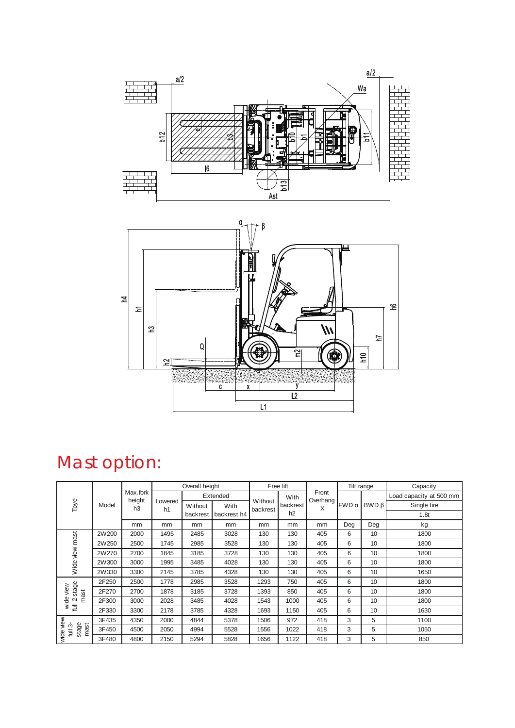



# Mast option:

|                                                   | Model | Max.fork<br>height<br>h <sub>3</sub> | Overall height            |          | Free lift   |                     |          | Tilt range          |       | Capacity |                         |
|---------------------------------------------------|-------|--------------------------------------|---------------------------|----------|-------------|---------------------|----------|---------------------|-------|----------|-------------------------|
| Tpye                                              |       |                                      | Lowered<br>h <sub>1</sub> |          | Extended    |                     | With     | Front<br>Overhang ! |       |          | Load capacity at 500 mm |
|                                                   |       |                                      |                           | Without  | With        | Without<br>backrest | backrest | X                   | FWD α | BWDB     | Single tire             |
|                                                   |       |                                      |                           | backrest | backrest h4 |                     | h2       |                     |       |          | 1.8t                    |
|                                                   |       | mm                                   | mm                        | mm       | mm          | mm                  | mm       | mm                  | Deg   | Deg      | kg                      |
| mast<br>view<br>Wide                              | 2W200 | 2000                                 | 1495                      | 2485     | 3028        | 130                 | 130      | 405                 | 6     | 10       | 1800                    |
|                                                   | 2W250 | 2500                                 | 1745                      | 2985     | 3528        | 130                 | 130      | 405                 | 6     | 10       | 1800                    |
|                                                   | 2W270 | 2700                                 | 1845                      | 3185     | 3728        | 130                 | 130      | 405                 | 6     | 10       | 1800                    |
|                                                   | 2W300 | 3000                                 | 1995                      | 3485     | 4028        | 130                 | 130      | 405                 | 6     | 10       | 1800                    |
|                                                   | 2W330 | 3300                                 | 2145                      | 3785     | 4328        | 130                 | 130      | 405                 | 6     | 10       | 1650                    |
| 2-stage<br>view<br>mast<br>wide<br>tull $2 -$     | 2F250 | 2500                                 | 1778                      | 2985     | 3528        | 1293                | 750      | 405                 | 6     | 10       | 1800                    |
|                                                   | 2F270 | 2700                                 | 1878                      | 3185     | 3728        | 1393                | 850      | 405                 | 6     | 10       | 1800                    |
|                                                   | 2F300 | 3000                                 | 2028                      | 3485     | 4028        | 1543                | 1000     | 405                 | 6     | 10       | 1800                    |
|                                                   | 2F330 | 3300                                 | 2178                      | 3785     | 4328        | 1693                | 1150     | 405                 | 6     | 10       | 1630                    |
| view<br>stage<br>mast<br>ო<br>$\bar{\Xi}$<br>wide | 3F435 | 4350                                 | 2000                      | 4844     | 5378        | 1506                | 972      | 418                 | 3     | 5        | 1100                    |
|                                                   | 3F450 | 4500                                 | 2050                      | 4994     | 5528        | 1556                | 1022     | 418                 | 3     | 5        | 1050                    |
|                                                   | 3F480 | 4800                                 | 2150                      | 5294     | 5828        | 1656                | 1122     | 418                 | 3     | 5        | 850                     |